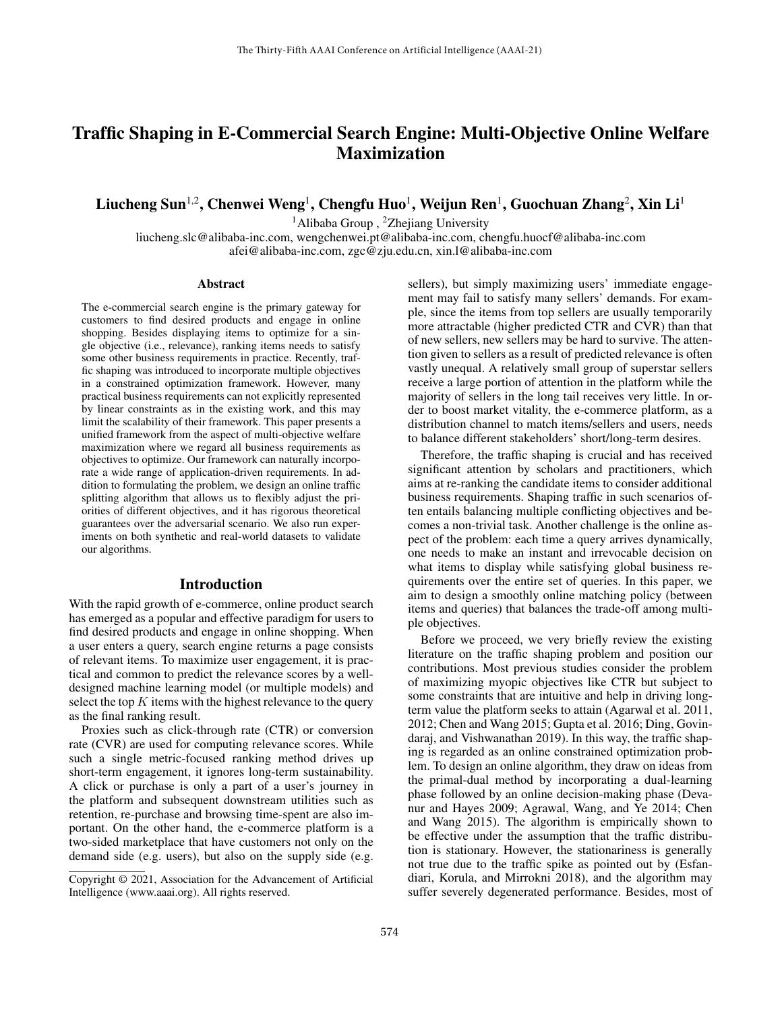# Traffic Shaping in E-Commercial Search Engine: Multi-Objective Online Welfare Maximization

Liucheng Sun $^{1,2}$ , Chenwei Weng $^{1}$ , Chengfu Huo $^{1}$ , Weijun Ren $^{1}$ , Guochuan Zhang $^{2}$ , Xin Li $^{1}$ 

<sup>1</sup>Alibaba Group, <sup>2</sup>Zhejiang University

liucheng.slc@alibaba-inc.com, wengchenwei.pt@alibaba-inc.com, chengfu.huocf@alibaba-inc.com afei@alibaba-inc.com, zgc@zju.edu.cn, xin.l@alibaba-inc.com

#### Abstract

The e-commercial search engine is the primary gateway for customers to find desired products and engage in online shopping. Besides displaying items to optimize for a single objective (i.e., relevance), ranking items needs to satisfy some other business requirements in practice. Recently, traffic shaping was introduced to incorporate multiple objectives in a constrained optimization framework. However, many practical business requirements can not explicitly represented by linear constraints as in the existing work, and this may limit the scalability of their framework. This paper presents a unified framework from the aspect of multi-objective welfare maximization where we regard all business requirements as objectives to optimize. Our framework can naturally incorporate a wide range of application-driven requirements. In addition to formulating the problem, we design an online traffic splitting algorithm that allows us to flexibly adjust the priorities of different objectives, and it has rigorous theoretical guarantees over the adversarial scenario. We also run experiments on both synthetic and real-world datasets to validate our algorithms.

#### Introduction

With the rapid growth of e-commerce, online product search has emerged as a popular and effective paradigm for users to find desired products and engage in online shopping. When a user enters a query, search engine returns a page consists of relevant items. To maximize user engagement, it is practical and common to predict the relevance scores by a welldesigned machine learning model (or multiple models) and select the top  $K$  items with the highest relevance to the query as the final ranking result.

Proxies such as click-through rate (CTR) or conversion rate (CVR) are used for computing relevance scores. While such a single metric-focused ranking method drives up short-term engagement, it ignores long-term sustainability. A click or purchase is only a part of a user's journey in the platform and subsequent downstream utilities such as retention, re-purchase and browsing time-spent are also important. On the other hand, the e-commerce platform is a two-sided marketplace that have customers not only on the demand side (e.g. users), but also on the supply side (e.g.

sellers), but simply maximizing users' immediate engagement may fail to satisfy many sellers' demands. For example, since the items from top sellers are usually temporarily more attractable (higher predicted CTR and CVR) than that of new sellers, new sellers may be hard to survive. The attention given to sellers as a result of predicted relevance is often vastly unequal. A relatively small group of superstar sellers receive a large portion of attention in the platform while the majority of sellers in the long tail receives very little. In order to boost market vitality, the e-commerce platform, as a distribution channel to match items/sellers and users, needs to balance different stakeholders' short/long-term desires.

Therefore, the traffic shaping is crucial and has received significant attention by scholars and practitioners, which aims at re-ranking the candidate items to consider additional business requirements. Shaping traffic in such scenarios often entails balancing multiple conflicting objectives and becomes a non-trivial task. Another challenge is the online aspect of the problem: each time a query arrives dynamically, one needs to make an instant and irrevocable decision on what items to display while satisfying global business requirements over the entire set of queries. In this paper, we aim to design a smoothly online matching policy (between items and queries) that balances the trade-off among multiple objectives.

Before we proceed, we very briefly review the existing literature on the traffic shaping problem and position our contributions. Most previous studies consider the problem of maximizing myopic objectives like CTR but subject to some constraints that are intuitive and help in driving longterm value the platform seeks to attain (Agarwal et al. 2011, 2012; Chen and Wang 2015; Gupta et al. 2016; Ding, Govindaraj, and Vishwanathan 2019). In this way, the traffic shaping is regarded as an online constrained optimization problem. To design an online algorithm, they draw on ideas from the primal-dual method by incorporating a dual-learning phase followed by an online decision-making phase (Devanur and Hayes 2009; Agrawal, Wang, and Ye 2014; Chen and Wang 2015). The algorithm is empirically shown to be effective under the assumption that the traffic distribution is stationary. However, the stationariness is generally not true due to the traffic spike as pointed out by (Esfandiari, Korula, and Mirrokni 2018), and the algorithm may suffer severely degenerated performance. Besides, most of

Copyright © 2021, Association for the Advancement of Artificial Intelligence (www.aaai.org). All rights reserved.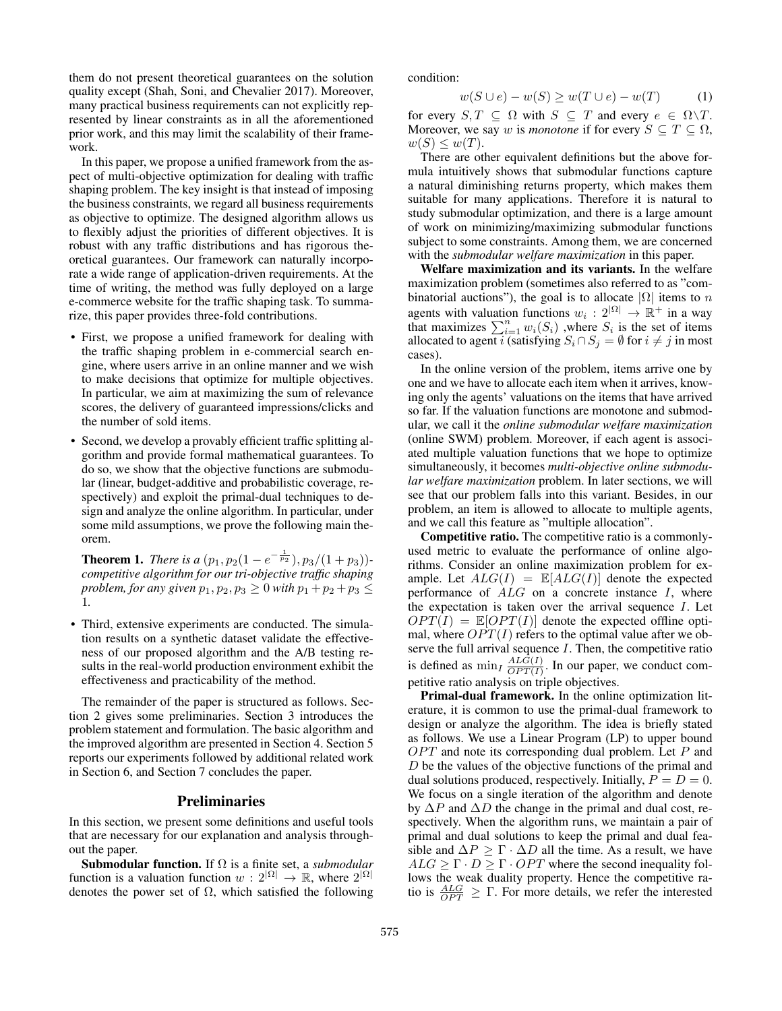them do not present theoretical guarantees on the solution quality except (Shah, Soni, and Chevalier 2017). Moreover, many practical business requirements can not explicitly represented by linear constraints as in all the aforementioned prior work, and this may limit the scalability of their framework.

In this paper, we propose a unified framework from the aspect of multi-objective optimization for dealing with traffic shaping problem. The key insight is that instead of imposing the business constraints, we regard all business requirements as objective to optimize. The designed algorithm allows us to flexibly adjust the priorities of different objectives. It is robust with any traffic distributions and has rigorous theoretical guarantees. Our framework can naturally incorporate a wide range of application-driven requirements. At the time of writing, the method was fully deployed on a large e-commerce website for the traffic shaping task. To summarize, this paper provides three-fold contributions.

- First, we propose a unified framework for dealing with the traffic shaping problem in e-commercial search engine, where users arrive in an online manner and we wish to make decisions that optimize for multiple objectives. In particular, we aim at maximizing the sum of relevance scores, the delivery of guaranteed impressions/clicks and the number of sold items.
- Second, we develop a provably efficient traffic splitting algorithm and provide formal mathematical guarantees. To do so, we show that the objective functions are submodular (linear, budget-additive and probabilistic coverage, respectively) and exploit the primal-dual techniques to design and analyze the online algorithm. In particular, under some mild assumptions, we prove the following main theorem.

**Theorem 1.** *There is a*  $(p_1, p_2(1 - e^{-\frac{1}{p_2}}), p_3/(1 + p_3))$ *competitive algorithm for our tri-objective traffic shaping problem, for any given*  $p_1, p_2, p_3 \ge 0$  *with*  $p_1 + p_2 + p_3 \le$ 1*.*

• Third, extensive experiments are conducted. The simulation results on a synthetic dataset validate the effectiveness of our proposed algorithm and the A/B testing results in the real-world production environment exhibit the effectiveness and practicability of the method.

The remainder of the paper is structured as follows. Section 2 gives some preliminaries. Section 3 introduces the problem statement and formulation. The basic algorithm and the improved algorithm are presented in Section 4. Section 5 reports our experiments followed by additional related work in Section 6, and Section 7 concludes the paper.

#### **Preliminaries**

In this section, we present some definitions and useful tools that are necessary for our explanation and analysis throughout the paper.

Submodular function. If Ω is a finite set, a *submodular* function is a valuation function  $w: 2^{|\Omega|} \to \mathbb{R}$ , where  $2^{|\Omega|}$ denotes the power set of  $\Omega$ , which satisfied the following condition:

$$
w(S \cup e) - w(S) \ge w(T \cup e) - w(T) \tag{1}
$$

for every  $S, T \subseteq \Omega$  with  $S \subseteq T$  and every  $e \in \Omega \backslash T$ . Moreover, we say w is *monotone* if for every  $S \subseteq T \subseteq \Omega$ ,  $w(S) \leq w(T)$ .

There are other equivalent definitions but the above formula intuitively shows that submodular functions capture a natural diminishing returns property, which makes them suitable for many applications. Therefore it is natural to study submodular optimization, and there is a large amount of work on minimizing/maximizing submodular functions subject to some constraints. Among them, we are concerned with the *submodular welfare maximization* in this paper.

Welfare maximization and its variants. In the welfare maximization problem (sometimes also referred to as "combinatorial auctions"), the goal is to allocate  $|\Omega|$  items to n agents with valuation functions  $w_i : 2^{|\Omega|} \rightarrow \mathbb{R}^+$  in a way that maximizes  $\sum_{i=1}^n w_i(S_i)$ , where  $S_i$  is the set of items allocated to agent i (satisfying  $S_i \cap S_j = \emptyset$  for  $i \neq j$  in most cases).

In the online version of the problem, items arrive one by one and we have to allocate each item when it arrives, knowing only the agents' valuations on the items that have arrived so far. If the valuation functions are monotone and submodular, we call it the *online submodular welfare maximization* (online SWM) problem. Moreover, if each agent is associated multiple valuation functions that we hope to optimize simultaneously, it becomes *multi-objective online submodular welfare maximization* problem. In later sections, we will see that our problem falls into this variant. Besides, in our problem, an item is allowed to allocate to multiple agents, and we call this feature as "multiple allocation".

Competitive ratio. The competitive ratio is a commonlyused metric to evaluate the performance of online algorithms. Consider an online maximization problem for example. Let  $ALG(I) = \mathbb{E}[ALG(I)]$  denote the expected performance of  $ALG$  on a concrete instance  $I$ , where the expectation is taken over the arrival sequence  $I$ . Let  $OPT(I) = \mathbb{E}[OPT(I)]$  denote the expected offline optimal, where  $OPT(I)$  refers to the optimal value after we observe the full arrival sequence  $I$ . Then, the competitive ratio is defined as  $\min_I \frac{ALG(I)}{OPT(I)}$  $\frac{ALG(I)}{OPT(I)}$ . In our paper, we conduct competitive ratio analysis on triple objectives.

Primal-dual framework. In the online optimization literature, it is common to use the primal-dual framework to design or analyze the algorithm. The idea is briefly stated as follows. We use a Linear Program (LP) to upper bound  $OPT$  and note its corresponding dual problem. Let  $P$  and D be the values of the objective functions of the primal and dual solutions produced, respectively. Initially,  $P = D = 0$ . We focus on a single iteration of the algorithm and denote by  $\Delta P$  and  $\Delta D$  the change in the primal and dual cost, respectively. When the algorithm runs, we maintain a pair of primal and dual solutions to keep the primal and dual feasible and  $\Delta P \ge \Gamma \cdot \Delta D$  all the time. As a result, we have  $ALG \geq \Gamma \cdot D \geq \Gamma \cdot OPT$  where the second inequality follows the weak duality property. Hence the competitive ratio is  $\frac{ALG}{OPT} \geq \Gamma$ . For more details, we refer the interested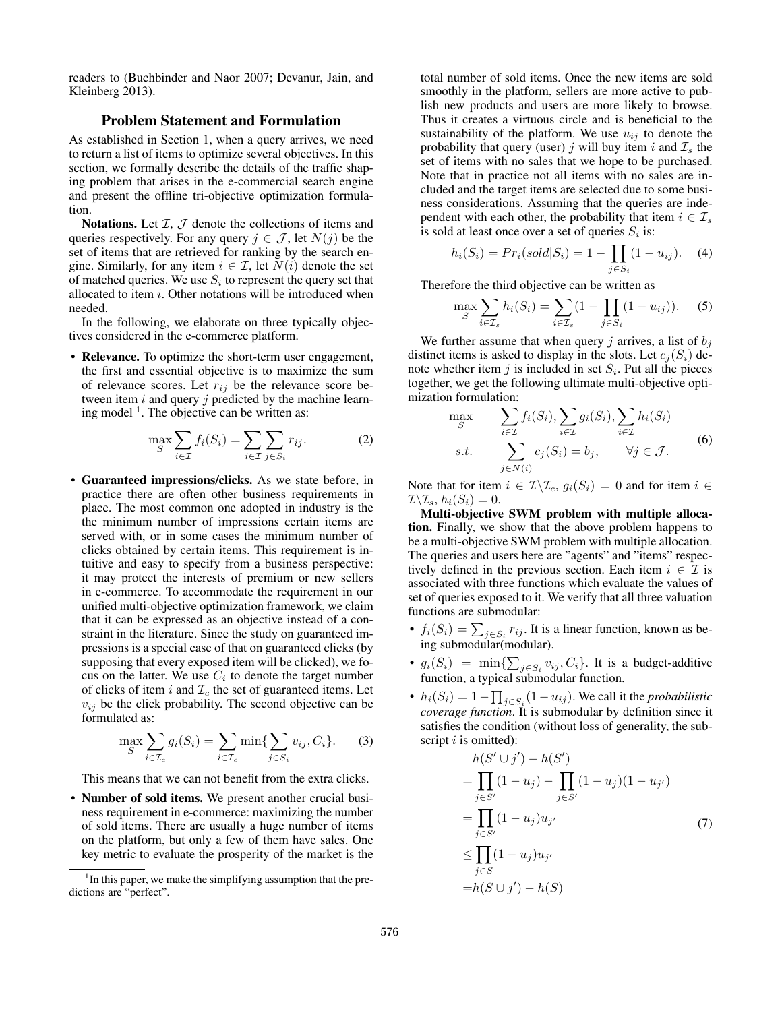readers to (Buchbinder and Naor 2007; Devanur, Jain, and Kleinberg 2013).

## Problem Statement and Formulation

As established in Section 1, when a query arrives, we need to return a list of items to optimize several objectives. In this section, we formally describe the details of the traffic shaping problem that arises in the e-commercial search engine and present the offline tri-objective optimization formulation.

Notations. Let  $I, J$  denote the collections of items and queries respectively. For any query  $j \in \mathcal{J}$ , let  $N(j)$  be the set of items that are retrieved for ranking by the search engine. Similarly, for any item  $i \in \mathcal{I}$ , let  $N(i)$  denote the set of matched queries. We use  $S_i$  to represent the query set that allocated to item  $i$ . Other notations will be introduced when needed.

In the following, we elaborate on three typically objectives considered in the e-commerce platform.

• Relevance. To optimize the short-term user engagement, the first and essential objective is to maximize the sum of relevance scores. Let  $r_{ij}$  be the relevance score between item  $i$  and query  $j$  predicted by the machine learning model<sup>1</sup>. The objective can be written as:

$$
\max_{S} \sum_{i \in \mathcal{I}} f_i(S_i) = \sum_{i \in \mathcal{I}} \sum_{j \in S_i} r_{ij}.
$$
 (2)

• Guaranteed impressions/clicks. As we state before, in practice there are often other business requirements in place. The most common one adopted in industry is the the minimum number of impressions certain items are served with, or in some cases the minimum number of clicks obtained by certain items. This requirement is intuitive and easy to specify from a business perspective: it may protect the interests of premium or new sellers in e-commerce. To accommodate the requirement in our unified multi-objective optimization framework, we claim that it can be expressed as an objective instead of a constraint in the literature. Since the study on guaranteed impressions is a special case of that on guaranteed clicks (by supposing that every exposed item will be clicked), we focus on the latter. We use  $C_i$  to denote the target number of clicks of item i and  $\mathcal{I}_c$  the set of guaranteed items. Let  $v_{ij}$  be the click probability. The second objective can be formulated as:

$$
\max_{S} \sum_{i \in \mathcal{I}_c} g_i(S_i) = \sum_{i \in \mathcal{I}_c} \min \{ \sum_{j \in S_i} v_{ij}, C_i \}.
$$
 (3)

This means that we can not benefit from the extra clicks.

• Number of sold items. We present another crucial business requirement in e-commerce: maximizing the number of sold items. There are usually a huge number of items on the platform, but only a few of them have sales. One key metric to evaluate the prosperity of the market is the

total number of sold items. Once the new items are sold smoothly in the platform, sellers are more active to publish new products and users are more likely to browse. Thus it creates a virtuous circle and is beneficial to the sustainability of the platform. We use  $u_{ij}$  to denote the probability that query (user) j will buy item i and  $\mathcal{I}_s$  the set of items with no sales that we hope to be purchased. Note that in practice not all items with no sales are included and the target items are selected due to some business considerations. Assuming that the queries are independent with each other, the probability that item  $i \in \mathcal{I}_s$ is sold at least once over a set of queries  $S_i$  is:

$$
h_i(S_i) = Pr_i(sold|S_i) = 1 - \prod_{j \in S_i} (1 - u_{ij}).
$$
 (4)

Therefore the third objective can be written as

$$
\max_{S} \sum_{i \in \mathcal{I}_s} h_i(S_i) = \sum_{i \in \mathcal{I}_s} (1 - \prod_{j \in S_i} (1 - u_{ij})). \tag{5}
$$

We further assume that when query j arrives, a list of  $b_i$ distinct items is asked to display in the slots. Let  $c_i(S_i)$  denote whether item  $j$  is included in set  $S_i$ . Put all the pieces together, we get the following ultimate multi-objective optimization formulation:

$$
\max_{S} \sum_{i \in \mathcal{I}} f_i(S_i), \sum_{i \in \mathcal{I}} g_i(S_i), \sum_{i \in \mathcal{I}} h_i(S_i)
$$
\n
$$
s.t. \sum_{j \in N(i)} c_j(S_i) = b_j, \quad \forall j \in \mathcal{J}.
$$
\n
$$
(6)
$$

Note that for item  $i \in \mathcal{I} \backslash \mathcal{I}_c$ ,  $g_i(S_i) = 0$  and for item  $i \in \mathcal{I}$  $\mathcal{I}\backslash\mathcal{I}_s$ ,  $h_i(S_i) = 0$ .

Multi-objective SWM problem with multiple allocation. Finally, we show that the above problem happens to be a multi-objective SWM problem with multiple allocation. The queries and users here are "agents" and "items" respectively defined in the previous section. Each item  $i \in \mathcal{I}$  is associated with three functions which evaluate the values of set of queries exposed to it. We verify that all three valuation functions are submodular:

- $f_i(S_i) = \sum_{j \in S_i} r_{ij}$ . It is a linear function, known as being submodular(modular).
- $g_i(S_i) = \min\{\sum_{j \in S_i} v_{ij}, C_i\}$ . It is a budget-additive function, a typical submodular function.
- $h_i(S_i) = 1 \prod_{j \in S_i} (1 u_{ij})$ . We call it the *probabilistic coverage function*. It is submodular by definition since it satisfies the condition (without loss of generality, the subscript  $i$  is omitted):

$$
h(S' \cup j') - h(S')
$$
  
= 
$$
\prod_{j \in S'} (1 - u_j) - \prod_{j \in S'} (1 - u_j)(1 - u_{j'})
$$
  
= 
$$
\prod_{j \in S'} (1 - u_j)u_{j'}
$$
  

$$
\leq \prod_{j \in S} (1 - u_j)u_{j'}
$$
  
= 
$$
h(S \cup j') - h(S)
$$
 (7)

<sup>&</sup>lt;sup>1</sup>In this paper, we make the simplifying assumption that the predictions are "perfect".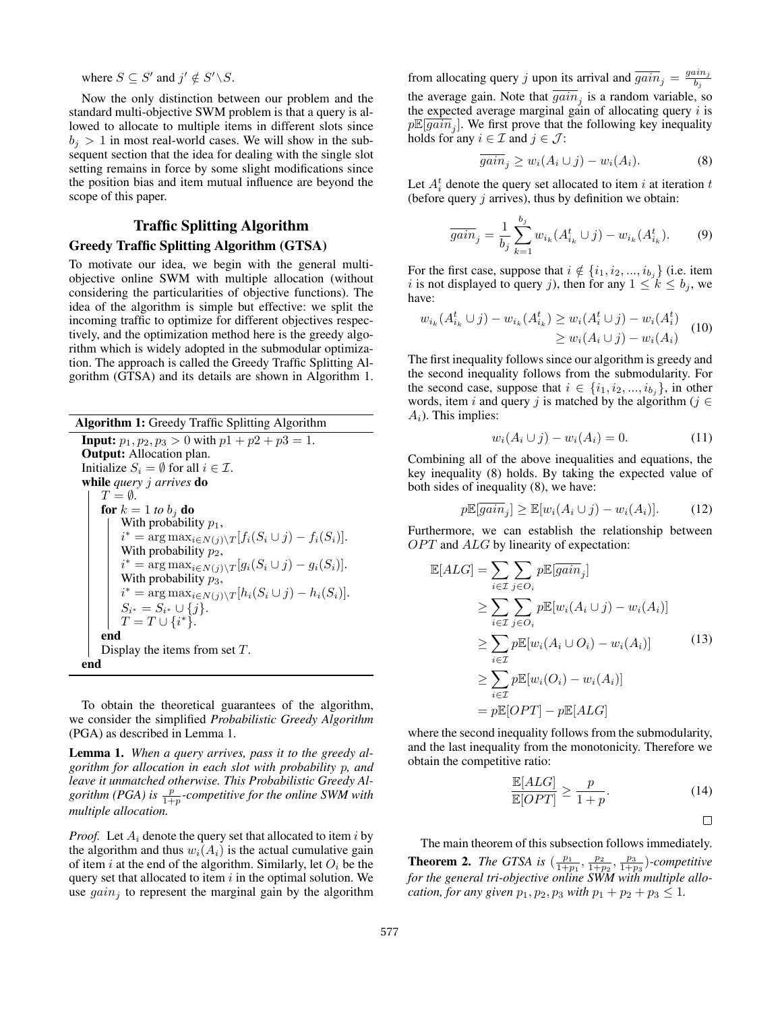where  $S \subseteq S'$  and  $j' \notin S' \backslash S$ .

Now the only distinction between our problem and the standard multi-objective SWM problem is that a query is allowed to allocate to multiple items in different slots since  $b_i > 1$  in most real-world cases. We will show in the subsequent section that the idea for dealing with the single slot setting remains in force by some slight modifications since the position bias and item mutual influence are beyond the scope of this paper.

## Traffic Splitting Algorithm

# Greedy Traffic Splitting Algorithm (GTSA)

To motivate our idea, we begin with the general multiobjective online SWM with multiple allocation (without considering the particularities of objective functions). The idea of the algorithm is simple but effective: we split the incoming traffic to optimize for different objectives respectively, and the optimization method here is the greedy algorithm which is widely adopted in the submodular optimization. The approach is called the Greedy Traffic Splitting Algorithm (GTSA) and its details are shown in Algorithm 1.

Algorithm 1: Greedy Traffic Splitting Algorithm **Input:**  $p_1, p_2, p_3 > 0$  with  $p_1 + p_2 + p_3 = 1$ . Output: Allocation plan. Initialize  $S_i = \emptyset$  for all  $i \in \mathcal{I}$ . while *query* j *arrives* do  $T = \emptyset$ . for  $k = 1$  to  $b_i$  do With probability  $p_1$ ,  $i^* = \arg \max_{i \in N(j) \setminus T} [f_i(S_i \cup j) - f_i(S_i)].$ With probability  $p_2$ ,  $i^* = \arg \max_{i \in N(j) \setminus T} [g_i(S_i \cup j) - g_i(S_i)].$ With probability  $p_3$ ,  $i^* = \arg \max_{i \in N(j) \setminus T} [h_i(S_i \cup j) - h_i(S_i)].$  $S_{i^*} = S_{i^*} \cup \{j\}.$  $T = T \cup \{i^*\}.$ end Display the items from set T. end

To obtain the theoretical guarantees of the algorithm, we consider the simplified *Probabilistic Greedy Algorithm* (PGA) as described in Lemma 1.

Lemma 1. *When a query arrives, pass it to the greedy algorithm for allocation in each slot with probability* p*, and leave it unmatched otherwise. This Probabilistic Greedy Al*gorithm (PGA) is  $\frac{p}{1+p}$ -competitive for the online SWM with *multiple allocation.*

*Proof.* Let  $A_i$  denote the query set that allocated to item i by the algorithm and thus  $w_i(A_i)$  is the actual cumulative gain of item i at the end of the algorithm. Similarly, let  $O_i$  be the query set that allocated to item  $i$  in the optimal solution. We use  $gain_i$  to represent the marginal gain by the algorithm

from allocating query j upon its arrival and  $\overline{gain}_j = \frac{gain_j}{b_j}$  $_{bj}$ the average gain. Note that  $\overline{gain}_j$  is a random variable, so the expected average marginal gain of allocating query  $i$  is  $p\mathbb{E}[\overline{gain}_j]$ . We first prove that the following key inequality holds for any  $i \in \mathcal{I}$  and  $j \in \mathcal{J}$ :

$$
\overline{gain}_j \ge w_i(A_i \cup j) - w_i(A_i). \tag{8}
$$

Let  $A_i^t$  denote the query set allocated to item i at iteration t (before query  $j$  arrives), thus by definition we obtain:

$$
\overline{gain}_j = \frac{1}{b_j} \sum_{k=1}^{b_j} w_{i_k}(A_{i_k}^t \cup j) - w_{i_k}(A_{i_k}^t). \tag{9}
$$

For the first case, suppose that  $i \notin \{i_1, i_2, ..., i_{b_j}\}$  (i.e. item i is not displayed to query j), then for any  $1 \leq k \leq b_j$ , we have:

$$
w_{i_k}(A_{i_k}^t \cup j) - w_{i_k}(A_{i_k}^t) \ge w_i(A_i^t \cup j) - w_i(A_i^t) \ge w_i(A_i \cup j) - w_i(A_i)
$$
 (10)

The first inequality follows since our algorithm is greedy and the second inequality follows from the submodularity. For the second case, suppose that  $i \in \{i_1, i_2, ..., i_{b_j}\}$ , in other words, item i and query j is matched by the algorithm ( $j \in$  $A_i$ ). This implies:

$$
w_i(A_i \cup j) - w_i(A_i) = 0.
$$
 (11)

Combining all of the above inequalities and equations, the key inequality (8) holds. By taking the expected value of both sides of inequality (8), we have:

$$
p\mathbb{E}[\overline{gain}_j] \ge \mathbb{E}[w_i(A_i \cup j) - w_i(A_i)]. \tag{12}
$$

Furthermore, we can establish the relationship between  $OPT$  and  $ALG$  by linearity of expectation:

$$
\mathbb{E}[ALG] = \sum_{i \in \mathcal{I}} \sum_{j \in O_i} p \mathbb{E}[gain_j]
$$
  
\n
$$
\geq \sum_{i \in \mathcal{I}} \sum_{j \in O_i} p \mathbb{E}[w_i(A_i \cup j) - w_i(A_i)]
$$
  
\n
$$
\geq \sum_{i \in \mathcal{I}} p \mathbb{E}[w_i(A_i \cup O_i) - w_i(A_i)]
$$
  
\n
$$
\geq \sum_{i \in \mathcal{I}} p \mathbb{E}[w_i(O_i) - w_i(A_i)]
$$
  
\n
$$
= p \mathbb{E}[OPT] - p \mathbb{E}[ALG]
$$

where the second inequality follows from the submodularity, and the last inequality from the monotonicity. Therefore we obtain the competitive ratio:

$$
\frac{\mathbb{E}[ALG]}{\mathbb{E}[OPT]} \ge \frac{p}{1+p}.\tag{14}
$$

$$
\qquad \qquad \Box
$$

The main theorem of this subsection follows immediately.

**Theorem 2.** *The GTSA is*  $(\frac{p_1}{1+p_1}, \frac{p_2}{1+p_2}, \frac{p_3}{1+p_3})$ *-competitive for the general tri-objective online SWM with multiple allocation, for any given*  $p_1, p_2, p_3$  *with*  $p_1 + p_2 + p_3 \leq 1$ *.*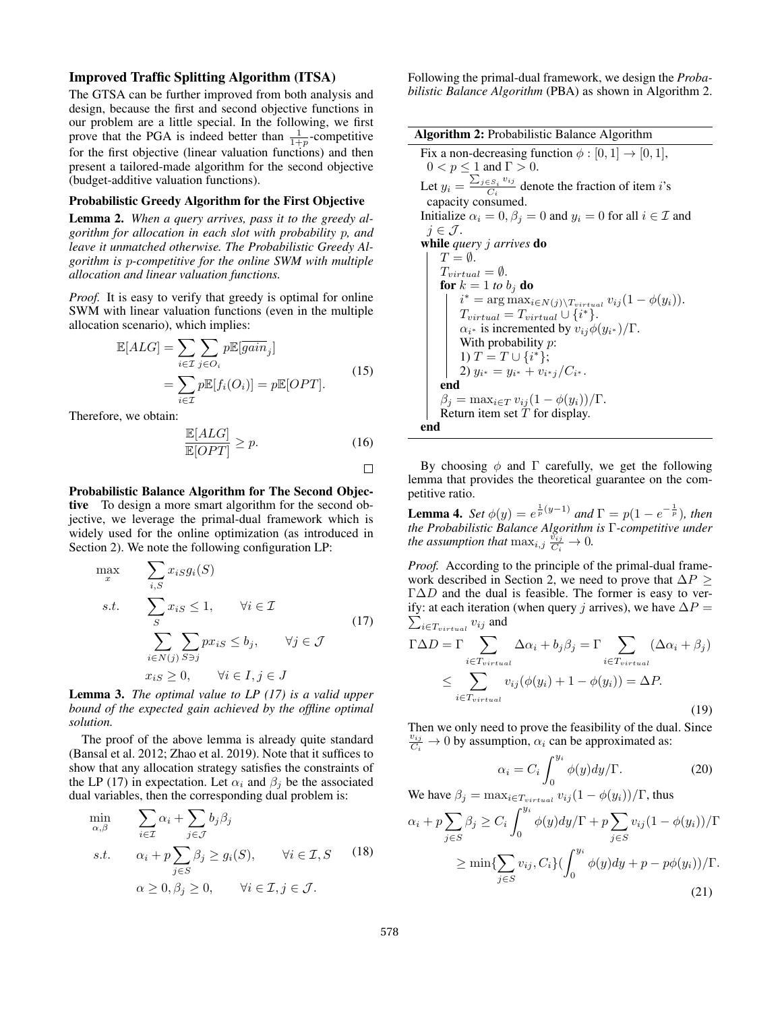#### Improved Traffic Splitting Algorithm (ITSA)

The GTSA can be further improved from both analysis and design, because the first and second objective functions in our problem are a little special. In the following, we first prove that the PGA is indeed better than  $\frac{1}{1+p}$ -competitive for the first objective (linear valuation functions) and then present a tailored-made algorithm for the second objective (budget-additive valuation functions).

#### Probabilistic Greedy Algorithm for the First Objective

Lemma 2. *When a query arrives, pass it to the greedy algorithm for allocation in each slot with probability* p*, and leave it unmatched otherwise. The Probabilistic Greedy Algorithm is* p*-competitive for the online SWM with multiple allocation and linear valuation functions.*

*Proof.* It is easy to verify that greedy is optimal for online SWM with linear valuation functions (even in the multiple allocation scenario), which implies:

$$
\mathbb{E}[ALG] = \sum_{i \in \mathcal{I}} \sum_{j \in O_i} p \mathbb{E}[\overline{gain}_j] \n= \sum_{i \in \mathcal{I}} p \mathbb{E}[f_i(O_i)] = p \mathbb{E}[OPT].
$$
\n(15)

Therefore, we obtain:

$$
\frac{\mathbb{E}[ALG]}{\mathbb{E}[OPT]} \ge p. \tag{16}
$$

 $\Box$ 

Probabilistic Balance Algorithm for The Second Objective To design a more smart algorithm for the second objective, we leverage the primal-dual framework which is widely used for the online optimization (as introduced in Section 2). We note the following configuration LP:

$$
\max_{x} \sum_{i,S} x_{iS} g_i(S)
$$
\n
$$
s.t. \sum_{S} x_{iS} \le 1, \quad \forall i \in \mathcal{I}
$$
\n
$$
\sum_{i \in N(j)} \sum_{S \ni j} px_{iS} \le b_j, \quad \forall j \in \mathcal{J}
$$
\n
$$
x_{iS} \ge 0, \quad \forall i \in I, j \in J
$$
\n
$$
(17)
$$

Lemma 3. *The optimal value to LP (17) is a valid upper bound of the expected gain achieved by the offline optimal solution.*

The proof of the above lemma is already quite standard (Bansal et al. 2012; Zhao et al. 2019). Note that it suffices to show that any allocation strategy satisfies the constraints of the LP (17) in expectation. Let  $\alpha_i$  and  $\beta_j$  be the associated dual variables, then the corresponding dual problem is:

$$
\min_{\alpha,\beta} \qquad \sum_{i \in \mathcal{I}} \alpha_i + \sum_{j \in \mathcal{J}} b_j \beta_j
$$
\n
$$
s.t. \qquad \alpha_i + p \sum_{j \in S} \beta_j \ge g_i(S), \qquad \forall i \in \mathcal{I}, S \qquad (18)
$$
\n
$$
\alpha \ge 0, \beta_j \ge 0, \qquad \forall i \in \mathcal{I}, j \in \mathcal{J}.
$$

Following the primal-dual framework, we design the *Probabilistic Balance Algorithm* (PBA) as shown in Algorithm 2.

| <b>Algorithm 2:</b> Probabilistic Balance Algorithm                                     |  |  |
|-----------------------------------------------------------------------------------------|--|--|
| Fix a non-decreasing function $\phi : [0, 1] \rightarrow [0, 1]$ ,                      |  |  |
| $0 < p \leq 1$ and $\Gamma > 0$ .                                                       |  |  |
| Let $y_i = \frac{\sum_{j \in S_i} v_{ij}}{C_i}$ denote the fraction of item <i>i</i> 's |  |  |
| capacity consumed.                                                                      |  |  |
| Initialize $\alpha_i = 0$ , $\beta_i = 0$ and $y_i = 0$ for all $i \in \mathcal{I}$ and |  |  |
| $j \in \mathcal{J}$ .                                                                   |  |  |
| while <i>query j arrives</i> do                                                         |  |  |
| $T = \emptyset$ .                                                                       |  |  |
| $T_{virtual} = \emptyset.$                                                              |  |  |
| for $k = 1$ to $b_j$ do                                                                 |  |  |
| $i^* = \arg \max_{i \in N(j) \setminus T_{virtual}} v_{ij} (1 - \phi(y_i)).$            |  |  |
| $T_{virtual} = T_{virtual} \cup \{i^*\}.$                                               |  |  |
| $\alpha_{i^*}$ is incremented by $v_{ij}\phi(y_{i^*})/\Gamma$ .                         |  |  |
| With probability $p$ :                                                                  |  |  |
| 1) $T = T \cup \{i^*\};$                                                                |  |  |
| 2) $y_{i^*} = y_{i^*} + v_{i^*j}/C_{i^*}.$                                              |  |  |
| end                                                                                     |  |  |
| $\beta_i = \max_{i \in T} v_{ij} (1 - \phi(y_i)) / \Gamma.$                             |  |  |
| Return item set $T$ for display.                                                        |  |  |
| end                                                                                     |  |  |

By choosing  $\phi$  and  $\Gamma$  carefully, we get the following lemma that provides the theoretical guarantee on the competitive ratio.

**Lemma 4.** *Set*  $\phi(y) = e^{\frac{1}{p}(y-1)}$  *and*  $\Gamma = p(1 - e^{-\frac{1}{p}})$ *, then the Probabilistic Balance Algorithm is* Γ*-competitive under the assumption that*  $\max_{i,j} \frac{\tilde{v}_{ij}}{C_i} \to 0$ *.* 

*Proof.* According to the principle of the primal-dual framework described in Section 2, we need to prove that  $\Delta P$  >  $\Gamma \Delta D$  and the dual is feasible. The former is easy to verify: at each iteration (when query j arrives), we have  $\Delta P =$  $\sum_{i \in T_{virtual}} v_{ij}$  and

$$
\Gamma \Delta D = \Gamma \sum_{i \in T_{virtual}} \Delta \alpha_i + b_j \beta_j = \Gamma \sum_{i \in T_{virtual}} (\Delta \alpha_i + \beta_j)
$$
  

$$
\leq \sum_{i \in T_{virtual}} v_{ij} (\phi(y_i) + 1 - \phi(y_i)) = \Delta P.
$$
 (19)

Then we only need to prove the feasibility of the dual. Since  $\frac{v_{ij}}{C_i} \to 0$  by assumption,  $\alpha_i$  can be approximated as:

$$
\alpha_i = C_i \int_0^{y_i} \phi(y) dy / \Gamma.
$$
 (20)

We have  $\beta_j = \max_{i \in T_{virtual}} v_{ij} (1 - \phi(y_i)) / \Gamma$ , thus  $\alpha_i+p\sum$ j∈S  $\beta_j \geq C_i \int^{y_i}$ 0  $\phi(y)dy/\Gamma + p\sum$ j∈S  $v_{ij}(1-\phi(y_i))/\Gamma$  $\geq \min\{\sum$ j∈S  $v_{ij}, C_i \} ( \int_{}^{y_i}$  $\oint_0 \phi(y) dy + p - p\phi(y_i)) / \Gamma.$ (21)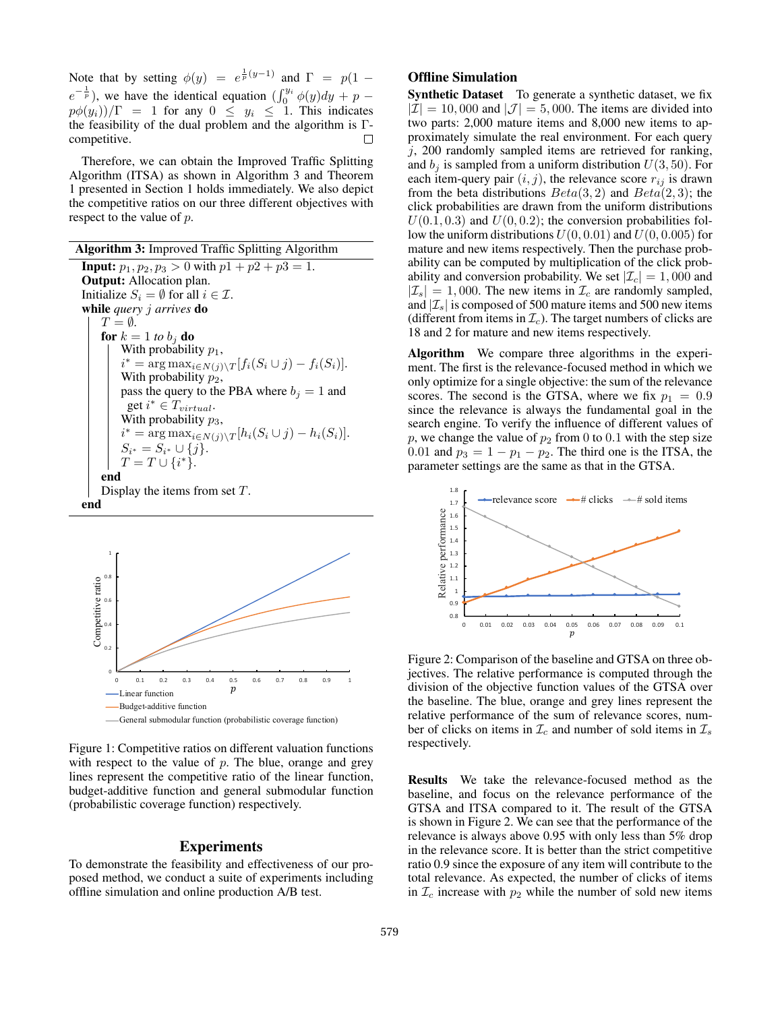Note that by setting  $\phi(y) = e^{\frac{1}{p}(y-1)}$  and  $\Gamma = p(1$  $e^{-\frac{1}{p}}$ ), we have the identical equation  $\left(\int_0^{y_i} \phi(y) dy + p - \right)$  $p\phi(y_i))/\Gamma = 1$  for any  $0 \le y_i \le 1$ . This indicates the feasibility of the dual problem and the algorithm is Γcompetitive.  $\Box$ 

Therefore, we can obtain the Improved Traffic Splitting Algorithm (ITSA) as shown in Algorithm 3 and Theorem 1 presented in Section 1 holds immediately. We also depict the competitive ratios on our three different objectives with respect to the value of p.

Algorithm 3: Improved Traffic Splitting Algorithm **Input:**  $p_1, p_2, p_3 > 0$  with  $p_1 + p_2 + p_3 = 1$ . Output: Allocation plan. Initialize  $S_i = \emptyset$  for all  $i \in \mathcal{I}$ . while *query* j *arrives* do  $T = \emptyset$ . for  $k = 1$  *to*  $b_i$  **do** With probability  $p_1$ ,  $i^* = \arg \max_{i \in N(j) \setminus T} [f_i(S_i \cup j) - f_i(S_i)].$ With probability  $p_2$ , pass the query to the PBA where  $b_j = 1$  and get  $i^* \in T_{virtual}$ . With probability  $p_3$ ,  $i^* = \arg \max_{i \in N(j) \setminus T} [h_i(S_i \cup j) - h_i(S_i)].$  $S_{i^*} = S_{i^*} \cup \{j\}.$  $T = T \cup \{i^*\}.$ end Display the items from set  $T$ . end



Figure 1: Competitive ratios on different valuation functions with respect to the value of  $p$ . The blue, orange and grey lines represent the competitive ratio of the linear function, budget-additive function and general submodular function (probabilistic coverage function) respectively.

## Experiments

To demonstrate the feasibility and effectiveness of our proposed method, we conduct a suite of experiments including offline simulation and online production A/B test.

# Offline Simulation

Synthetic Dataset To generate a synthetic dataset, we fix  $|\mathcal{I}| = 10,000$  and  $|\mathcal{J}| = 5,000$ . The items are divided into two parts: 2,000 mature items and 8,000 new items to approximately simulate the real environment. For each query  $i$ , 200 randomly sampled items are retrieved for ranking, and  $b_j$  is sampled from a uniform distribution  $U(3, 50)$ . For each item-query pair  $(i, j)$ , the relevance score  $r_{ij}$  is drawn from the beta distributions  $Beta(3, 2)$  and  $Beta(2, 3)$ ; the click probabilities are drawn from the uniform distributions  $U(0.1, 0.3)$  and  $U(0, 0.2)$ ; the conversion probabilities follow the uniform distributions  $U(0, 0.01)$  and  $U(0, 0.005)$  for mature and new items respectively. Then the purchase probability can be computed by multiplication of the click probability and conversion probability. We set  $|\mathcal{I}_c| = 1,000$  and  $|\mathcal{I}_s| = 1,000$ . The new items in  $\mathcal{I}_c$  are randomly sampled, and  $|\mathcal{I}_s|$  is composed of 500 mature items and 500 new items (different from items in  $\mathcal{I}_c$ ). The target numbers of clicks are 18 and 2 for mature and new items respectively.

Algorithm We compare three algorithms in the experiment. The first is the relevance-focused method in which we only optimize for a single objective: the sum of the relevance scores. The second is the GTSA, where we fix  $p_1 = 0.9$ since the relevance is always the fundamental goal in the search engine. To verify the influence of different values of p, we change the value of  $p_2$  from 0 to 0.1 with the step size 0.01 and  $p_3 = 1 - p_1 - p_2$ . The third one is the ITSA, the parameter settings are the same as that in the GTSA.



Figure 2: Comparison of the baseline and GTSA on three objectives. The relative performance is computed through the division of the objective function values of the GTSA over the baseline. The blue, orange and grey lines represent the relative performance of the sum of relevance scores, number of clicks on items in  $\mathcal{I}_c$  and number of sold items in  $\mathcal{I}_s$ respectively.

Results We take the relevance-focused method as the baseline, and focus on the relevance performance of the GTSA and ITSA compared to it. The result of the GTSA is shown in Figure 2. We can see that the performance of the relevance is always above 0.95 with only less than 5% drop in the relevance score. It is better than the strict competitive ratio 0.9 since the exposure of any item will contribute to the total relevance. As expected, the number of clicks of items in  $\mathcal{I}_c$  increase with  $p_2$  while the number of sold new items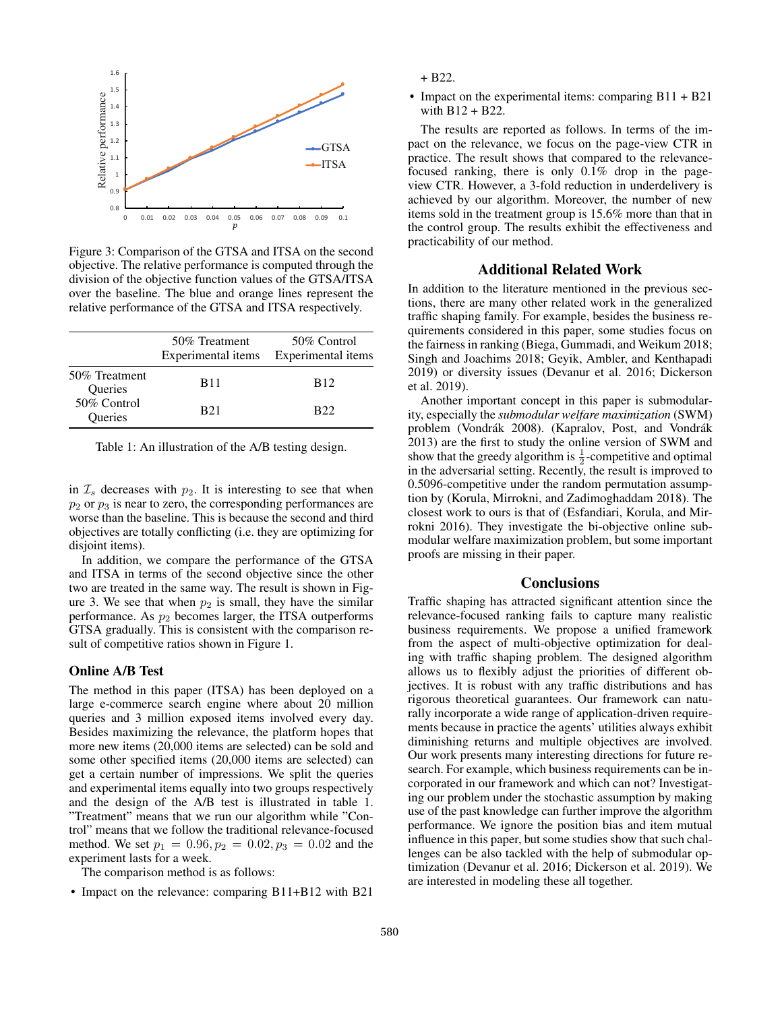

Figure 3: Comparison of the GTSA and ITSA on the second objective. The relative performance is computed through the division of the objective function values of the GTSA/ITSA over the baseline. The blue and orange lines represent the relative performance of the GTSA and ITSA respectively.

|                          | 50% Treatment<br>Experimental items | 50% Control<br>Experimental items |
|--------------------------|-------------------------------------|-----------------------------------|
| 50% Treatment<br>Queries | <b>B</b> 11                         | <b>B</b> <sub>12</sub>            |
| 50% Control<br>Queries   | <b>B21</b>                          | B22                               |

Table 1: An illustration of the A/B testing design.

in  $\mathcal{I}_s$  decreases with  $p_2$ . It is interesting to see that when  $p_2$  or  $p_3$  is near to zero, the corresponding performances are worse than the baseline. This is because the second and third objectives are totally conflicting (i.e. they are optimizing for disjoint items).

In addition, we compare the performance of the GTSA and ITSA in terms of the second objective since the other two are treated in the same way. The result is shown in Figure 3. We see that when  $p_2$  is small, they have the similar performance. As  $p_2$  becomes larger, the ITSA outperforms GTSA gradually. This is consistent with the comparison result of competitive ratios shown in Figure 1.

#### Online A/B Test

The method in this paper (ITSA) has been deployed on a large e-commerce search engine where about 20 million queries and 3 million exposed items involved every day. Besides maximizing the relevance, the platform hopes that more new items (20,000 items are selected) can be sold and some other specified items (20,000 items are selected) can get a certain number of impressions. We split the queries and experimental items equally into two groups respectively and the design of the A/B test is illustrated in table 1. "Treatment" means that we run our algorithm while "Control" means that we follow the traditional relevance-focused method. We set  $p_1 = 0.96, p_2 = 0.02, p_3 = 0.02$  and the experiment lasts for a week.

The comparison method is as follows:

• Impact on the relevance: comparing B11+B12 with B21

+ B22.

• Impact on the experimental items: comparing B11 + B21 with B12 + B22.

The results are reported as follows. In terms of the impact on the relevance, we focus on the page-view CTR in practice. The result shows that compared to the relevancefocused ranking, there is only 0.1% drop in the pageview CTR. However, a 3-fold reduction in underdelivery is achieved by our algorithm. Moreover, the number of new items sold in the treatment group is 15.6% more than that in the control group. The results exhibit the effectiveness and practicability of our method.

## Additional Related Work

In addition to the literature mentioned in the previous sections, there are many other related work in the generalized traffic shaping family. For example, besides the business requirements considered in this paper, some studies focus on the fairness in ranking (Biega, Gummadi, and Weikum 2018; Singh and Joachims 2018; Geyik, Ambler, and Kenthapadi 2019) or diversity issues (Devanur et al. 2016; Dickerson et al. 2019).

Another important concept in this paper is submodularity, especially the *submodular welfare maximization* (SWM) problem (Vondrák 2008). (Kapralov, Post, and Vondrák 2013) are the first to study the online version of SWM and show that the greedy algorithm is  $\frac{1}{2}$ -competitive and optimal in the adversarial setting. Recently, the result is improved to 0.5096-competitive under the random permutation assumption by (Korula, Mirrokni, and Zadimoghaddam 2018). The closest work to ours is that of (Esfandiari, Korula, and Mirrokni 2016). They investigate the bi-objective online submodular welfare maximization problem, but some important proofs are missing in their paper.

## **Conclusions**

Traffic shaping has attracted significant attention since the relevance-focused ranking fails to capture many realistic business requirements. We propose a unified framework from the aspect of multi-objective optimization for dealing with traffic shaping problem. The designed algorithm allows us to flexibly adjust the priorities of different objectives. It is robust with any traffic distributions and has rigorous theoretical guarantees. Our framework can naturally incorporate a wide range of application-driven requirements because in practice the agents' utilities always exhibit diminishing returns and multiple objectives are involved. Our work presents many interesting directions for future research. For example, which business requirements can be incorporated in our framework and which can not? Investigating our problem under the stochastic assumption by making use of the past knowledge can further improve the algorithm performance. We ignore the position bias and item mutual influence in this paper, but some studies show that such challenges can be also tackled with the help of submodular optimization (Devanur et al. 2016; Dickerson et al. 2019). We are interested in modeling these all together.